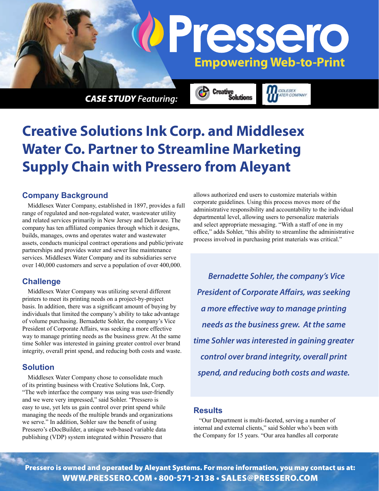

*CASE STUDY Featuring:*

# **Creative Solutions Ink Corp. and Middlesex Water Co. Partner to Streamline Marketing Supply Chain with Pressero from Aleyant**

### **Company Background**

Middlesex Water Company, established in 1897, provides a full range of regulated and non-regulated water, wastewater utility and related services primarily in New Jersey and Delaware. The company has ten affiliated companies through which it designs, builds, manages, owns and operates water and wastewater assets, conducts municipal contract operations and public/private partnerships and provides water and sewer line maintenance services. Middlesex Water Company and its subsidiaries serve over 140,000 customers and serve a population of over 400,000.

#### **Challenge**

Middlesex Water Company was utilizing several different printers to meet its printing needs on a project-by-project basis. In addition, there was a significant amount of buying by individuals that limited the company's ability to take advantage of volume purchasing. Bernadette Sohler, the company's Vice President of Corporate Affairs, was seeking a more effective way to manage printing needs as the business grew. At the same time Sohler was interested in gaining greater control over brand integrity, overall print spend, and reducing both costs and waste.

#### **Solution**

Middlesex Water Company chose to consolidate much of its printing business with Creative Solutions Ink, Corp. "The web interface the company was using was user-friendly and we were very impressed," said Sohler. "Pressero is easy to use, yet lets us gain control over print spend while managing the needs of the multiple brands and organizations we serve." In addition, Sohler saw the benefit of using Pressero's eDocBuilder, a unique web-based variable data publishing (VDP) system integrated within Pressero that

allows authorized end users to customize materials within corporate guidelines. Using this process moves more of the administrative responsibility and accountability to the individual departmental level, allowing users to personalize materials and select appropriate messaging. "With a staff of one in my office," adds Sohler, "this ability to streamline the administrative process involved in purchasing print materials was critical."

olutions

*Bernadette Sohler, the company's Vice President of Corporate Affairs, was seeking a more effective way to manage printing needs as the business grew. At the same time Sohler was interested in gaining greater control over brand integrity, overall print spend, and reducing both costs and waste.*

#### **Results**

"Our Department is multi-faceted, serving a number of internal and external clients," said Sohler who's been with the Company for 15 years. "Our area handles all corporate

Pressero is owned and operated by Aleyant Systems. For more information, you may contact us at: www.pressero.com • 800-571-2138 • sales@pressero.com